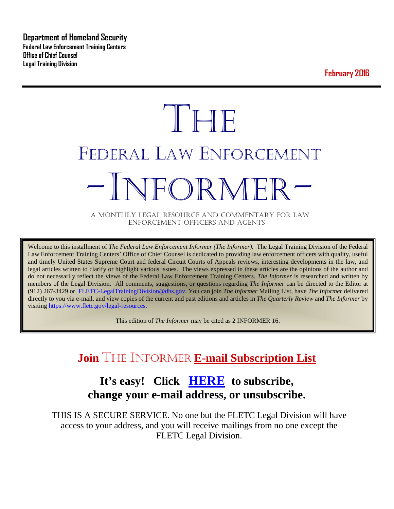**Department of Homeland Security Federal Law Enforcement Training Centers Office of Chief Counsel Legal Training Division** 

**February 2016**

# **THE** FEDERAL LAW ENFORCEMENT -INFORMER- A MONTHLY LEGAL RESOURCE AND COMMENTARY FOR LAW

ENFORCEMENT OFFICERS AND AGENTS

Welcome to this installment of *The Federal Law Enforcement Informer (The Informer).* The Legal Training Division of the Federal Law Enforcement Training Centers' Office of Chief Counsel is dedicated to providing law enforcement officers with quality, useful and timely United States Supreme Court and federal Circuit Courts of Appeals reviews, interesting developments in the law, and legal articles written to clarify or highlight various issues. The views expressed in these articles are the opinions of the author and do not necessarily reflect the views of the Federal Law Enforcement Training Centers. *The Informer* is researched and written by members of the Legal Division. All comments, suggestions, or questions regarding *The Informer* can be directed to the Editor at (912) 267-3429 or [FLETC-LegalTrainingDivision@dhs.gov.](mailto:FLETC-LegalTrainingDivision@dhs.gov) You can join *The Informer* Mailing List, have *The Informer* delivered directly to you via e-mail, and view copies of the current and past editions and articles in *The Quarterly Review* and *The Informer* by visiting [https://www.fletc.gov/legal-resources.](https://www.fletc.gov/legal-resources) 

This edition of *The Informer* may be cited as 2 INFORMER 16.

## **Join** THE INFORMER **E-mail Subscription List**

## **It's easy! Click [HERE](http://peach.ease.lsoft.com/scripts/wa.exe?SUBED1=fletclgd&A=1) to subscribe, change your e-mail address, or unsubscribe.**

THIS IS A SECURE SERVICE. No one but the FLETC Legal Division will have access to your address, and you will receive mailings from no one except the FLETC Legal Division.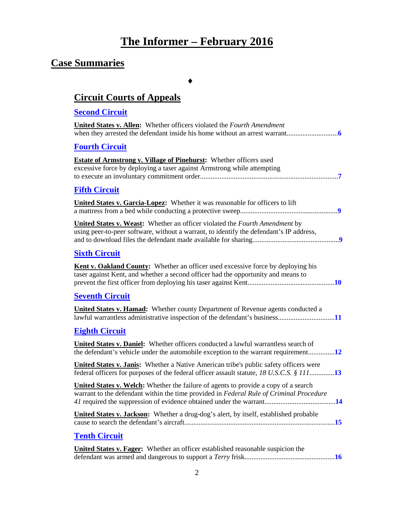## **The Informer – February 2016**

## **Case Summaries**

♦

## **[Circuit Courts of Appeals](#page-5-0)**

## **[Second Circuit](#page-5-1)**

| <u>decome Un cuit</u>                                                                                                                                                                        |
|----------------------------------------------------------------------------------------------------------------------------------------------------------------------------------------------|
| <b>United States v. Allen:</b> Whether officers violated the Fourth Amendment                                                                                                                |
| <b>Fourth Circuit</b>                                                                                                                                                                        |
| <b>Estate of Armstrong v. Village of Pinehurst:</b> Whether officers used<br>excessive force by deploying a taser against Armstrong while attempting                                         |
| <b>Fifth Circuit</b>                                                                                                                                                                         |
| <b>United States v. Garcia-Lopez:</b> Whether it was reasonable for officers to lift                                                                                                         |
| <b>United States v. Weast:</b> Whether an officer violated the Fourth Amendment by<br>using peer-to-peer software, without a warrant, to identify the defendant's IP address,                |
| <b>Sixth Circuit</b>                                                                                                                                                                         |
| <b>Kent v. Oakland County:</b> Whether an officer used excessive force by deploying his<br>taser against Kent, and whether a second officer had the opportunity and means to                 |
| <b>Seventh Circuit</b>                                                                                                                                                                       |
| <b>United States v. Hamad:</b> Whether county Department of Revenue agents conducted a                                                                                                       |
| <b>Eighth Circuit</b>                                                                                                                                                                        |
| United States v. Daniel: Whether officers conducted a lawful warrantless search of<br>the defendant's vehicle under the automobile exception to the warrant requirement12                    |
| <b>United States v. Janis:</b> Whether a Native American tribe's public safety officers were<br>federal officers for purposes of the federal officer assault statute, 18 U.S.C.S. § 11113    |
| <b>United States v. Welch:</b> Whether the failure of agents to provide a copy of a search<br>warrant to the defendant within the time provided in Federal Rule of Criminal Procedure<br>.14 |
| <b>United States v. Jackson:</b> Whether a drug-dog's alert, by itself, established probable                                                                                                 |
| <b>Tenth Circuit</b>                                                                                                                                                                         |
| <b>United States v. Fager:</b> Whether an officer established reasonable suspicion the                                                                                                       |

defendant was armed and dangerous to support a *Terry* frisk...................................................**[16](#page-15-1)**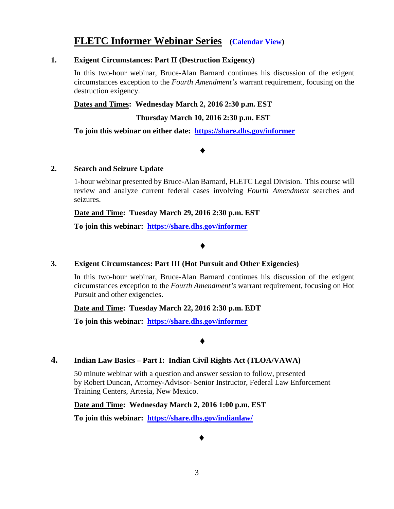## **FLETC Informer Webinar Series [\(Calendar View\)](#page-4-0)**

#### **1. Exigent Circumstances: Part II (Destruction Exigency)**

In this two-hour webinar, Bruce-Alan Barnard continues his discussion of the exigent circumstances exception to the *Fourth Amendment's* warrant requirement, focusing on the destruction exigency.

**Dates and Times: Wednesday March 2, 2016 2:30 p.m. EST**

 **Thursday March 10, 2016 2:30 p.m. EST**

**To join this webinar on either date: <https://share.dhs.gov/informer>**

♦

#### **2. Search and Seizure Update**

1-hour webinar presented by Bruce-Alan Barnard, FLETC Legal Division. This course will review and analyze current federal cases involving *Fourth Amendment* searches and seizures.

**Date and Time: Tuesday March 29, 2016 2:30 p.m. EST**

**To join this webinar: <https://share.dhs.gov/informer>**

♦

## **3. Exigent Circumstances: Part III (Hot Pursuit and Other Exigencies)**

In this two-hour webinar, Bruce-Alan Barnard continues his discussion of the exigent circumstances exception to the *Fourth Amendment's* warrant requirement, focusing on Hot Pursuit and other exigencies.

## **Date and Time: Tuesday March 22, 2016 2:30 p.m. EDT**

**To join this webinar: <https://share.dhs.gov/informer>**

♦

## **4. Indian Law Basics – Part I: Indian Civil Rights Act (TLOA/VAWA)**

50 minute webinar with a question and answer session to follow, presented by Robert Duncan, Attorney-Advisor- Senior Instructor, Federal Law Enforcement Training Centers, Artesia, New Mexico.

**Date and Time: Wednesday March 2, 2016 1:00 p.m. EST**

**To join this webinar: <https://share.dhs.gov/indianlaw/>**

♦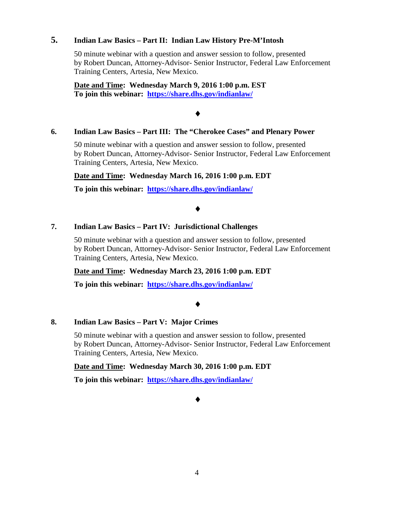#### **5. Indian Law Basics – Part II: Indian Law History Pre-M'Intosh**

50 minute webinar with a question and answer session to follow, presented by Robert Duncan, Attorney-Advisor- Senior Instructor, Federal Law Enforcement Training Centers, Artesia, New Mexico.

**Date and Time: Wednesday March 9, 2016 1:00 p.m. EST To join this webinar: <https://share.dhs.gov/indianlaw/>**

#### ♦

#### **6. Indian Law Basics – Part III: The "Cherokee Cases" and Plenary Power**

50 minute webinar with a question and answer session to follow, presented by Robert Duncan, Attorney-Advisor- Senior Instructor, Federal Law Enforcement Training Centers, Artesia, New Mexico.

#### **Date and Time: Wednesday March 16, 2016 1:00 p.m. EDT**

**To join this webinar: <https://share.dhs.gov/indianlaw/>**

#### ♦

#### **7. Indian Law Basics – Part IV: Jurisdictional Challenges**

50 minute webinar with a question and answer session to follow, presented by Robert Duncan, Attorney-Advisor- Senior Instructor, Federal Law Enforcement Training Centers, Artesia, New Mexico.

#### **Date and Time: Wednesday March 23, 2016 1:00 p.m. EDT**

**To join this webinar: <https://share.dhs.gov/indianlaw/>**

#### ♦

#### **8. Indian Law Basics – Part V: Major Crimes**

50 minute webinar with a question and answer session to follow, presented by Robert Duncan, Attorney-Advisor- Senior Instructor, Federal Law Enforcement Training Centers, Artesia, New Mexico.

#### **Date and Time: Wednesday March 30, 2016 1:00 p.m. EDT**

**To join this webinar: <https://share.dhs.gov/indianlaw/>**

♦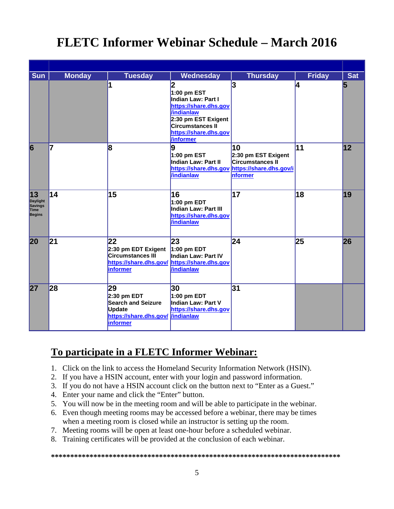## <span id="page-4-0"></span>**FLETC Informer Webinar Schedule – March 2016**

| <b>Sun</b>                                                       | <b>Monday</b> | <b>Tuesday</b>                                                                                                     | Wednesday                                                                                                                                                                           | <b>Thursday</b>                                                                                                         | <b>Friday</b> | <b>Sat</b> |
|------------------------------------------------------------------|---------------|--------------------------------------------------------------------------------------------------------------------|-------------------------------------------------------------------------------------------------------------------------------------------------------------------------------------|-------------------------------------------------------------------------------------------------------------------------|---------------|------------|
|                                                                  |               | 1                                                                                                                  | 2<br>1:00 pm EST<br>Indian Law: Part I<br>https://share.dhs.gov<br><b>/indianlaw</b><br>2:30 pm EST Exigent<br><b>Circumstances II</b><br>https://share.dhs.gov<br><i>Vinformer</i> | 3                                                                                                                       | 4             | 5          |
| $\overline{6}$                                                   | 7             | 8                                                                                                                  | $\boldsymbol{9}$<br>1:00 pm EST<br>Indian Law: Part II<br><b>/indianlaw</b>                                                                                                         | 10<br>2:30 pm EST Exigent<br><b>Circumstances II</b><br>https://share.dhs.gov https://share.dhs.gov/i<br><b>nformer</b> | 11            | 12         |
| 13<br>Daylight<br><b>Savings</b><br><b>Time</b><br><b>Begins</b> | 14            | 15                                                                                                                 | 16<br>1:00 pm EDT<br>Indian Law: Part III<br>https://share.dhs.gov<br><b>/indianlaw</b>                                                                                             | 17                                                                                                                      | 18            | 19         |
| 20                                                               | 21            | 22<br>2:30 pm EDT Exigent<br><b>Circumstances III</b><br>https://share.dhs.gov/ https://share.dhs.gov<br>informer  | 23<br>$1:00$ pm EDT<br>Indian Law: Part IV<br><b>/indianlaw</b>                                                                                                                     | $\overline{24}$                                                                                                         | 25            | 26         |
| 27                                                               | 28            | 29<br>$2:30$ pm EDT<br><b>Search and Seizure</b><br><b>Update</b><br>https://share.dhs.gov/ /indianlaw<br>informer | 30<br>1:00 pm EDT<br>Indian Law: Part V<br>https://share.dhs.gov                                                                                                                    | 31                                                                                                                      |               |            |

## **To participate in a FLETC Informer Webinar:**

- 1. Click on the link to access the Homeland Security Information Network (HSIN).
- 2. If you have a HSIN account, enter with your login and password information.
- 3. If you do not have a HSIN account click on the button next to "Enter as a Guest."
- 4. Enter your name and click the "Enter" button.
- 5. You will now be in the meeting room and will be able to participate in the webinar.
- 6. Even though meeting rooms may be accessed before a webinar, there may be times when a meeting room is closed while an instructor is setting up the room.
- 7. Meeting rooms will be open at least one-hour before a scheduled webinar.
- 8. Training certificates will be provided at the conclusion of each webinar.

**\*\*\*\*\*\*\*\*\*\*\*\*\*\*\*\*\*\*\*\*\*\*\*\*\*\*\*\*\*\*\*\*\*\*\*\*\*\*\*\*\*\*\*\*\*\*\*\*\*\*\*\*\*\*\*\*\*\*\*\*\*\*\*\*\*\*\*\*\*\*\*\*\*\*\***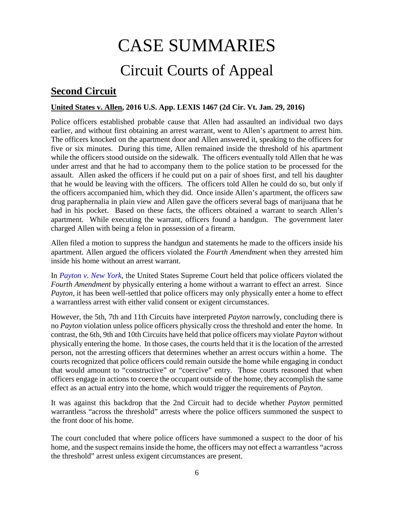## CASE SUMMARIES Circuit Courts of Appeal

## <span id="page-5-1"></span><span id="page-5-0"></span>**Second Circuit**

## <span id="page-5-2"></span>**United States v. Allen, 2016 U.S. App. LEXIS 1467 (2d Cir. Vt. Jan. 29, 2016)**

Police officers established probable cause that Allen had assaulted an individual two days earlier, and without first obtaining an arrest warrant, went to Allen's apartment to arrest him. The officers knocked on the apartment door and Allen answered it, speaking to the officers for five or six minutes. During this time, Allen remained inside the threshold of his apartment while the officers stood outside on the sidewalk. The officers eventually told Allen that he was under arrest and that he had to accompany them to the police station to be processed for the assault. Allen asked the officers if he could put on a pair of shoes first, and tell his daughter that he would be leaving with the officers. The officers told Allen he could do so, but only if the officers accompanied him, which they did. Once inside Allen's apartment, the officers saw drug paraphernalia in plain view and Allen gave the officers several bags of marijuana that he had in his pocket. Based on these facts, the officers obtained a warrant to search Allen's apartment. While executing the warrant, officers found a handgun. The government later charged Allen with being a felon in possession of a firearm.

Allen filed a motion to suppress the handgun and statements he made to the officers inside his apartment. Allen argued the officers violated the *Fourth Amendment* when they arrested him inside his home without an arrest warrant.

In *[Payton v. New York](https://supreme.justia.com/cases/federal/us/445/573/case.html)*, the United States Supreme Court held that police officers violated the *Fourth Amendment* by physically entering a home without a warrant to effect an arrest. Since *Payton*, it has been well-settled that police officers may only physically enter a home to effect a warrantless arrest with either valid consent or exigent circumstances.

However, the 5th, 7th and 11th Circuits have interpreted *Payton* narrowly, concluding there is no *Payton* violation unless police officers physically cross the threshold and enter the home. In contrast, the 6th, 9th and 10th Circuits have held that police officers may violate *Payton* without physically entering the home. In those cases, the courts held that it is the location of the arrested person, not the arresting officers that determines whether an arrest occurs within a home. The courts recognized that police officers could remain outside the home while engaging in conduct that would amount to "constructive" or "coercive" entry. Those courts reasoned that when officers engage in actions to coerce the occupant outside of the home, they accomplish the same effect as an actual entry into the home, which would trigger the requirements of *Payton*.

It was against this backdrop that the 2nd Circuit had to decide whether *Payton* permitted warrantless "across the threshold" arrests where the police officers summoned the suspect to the front door of his home.

The court concluded that where police officers have summoned a suspect to the door of his home, and the suspect remains inside the home, the officers may not effect a warrantless "across the threshold" arrest unless exigent circumstances are present.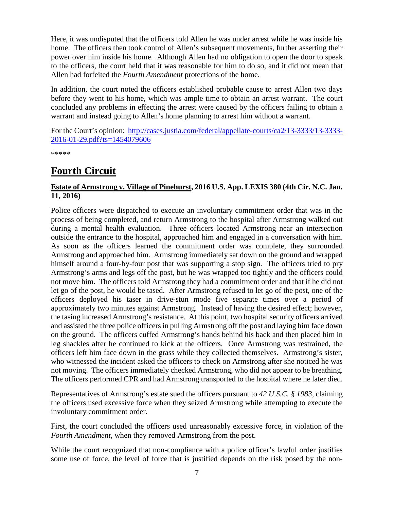Here, it was undisputed that the officers told Allen he was under arrest while he was inside his home. The officers then took control of Allen's subsequent movements, further asserting their power over him inside his home. Although Allen had no obligation to open the door to speak to the officers, the court held that it was reasonable for him to do so, and it did not mean that Allen had forfeited the *Fourth Amendment* protections of the home.

In addition, the court noted the officers established probable cause to arrest Allen two days before they went to his home, which was ample time to obtain an arrest warrant. The court concluded any problems in effecting the arrest were caused by the officers failing to obtain a warrant and instead going to Allen's home planning to arrest him without a warrant.

For the Court's opinion: [http://cases.justia.com/federal/appellate-courts/ca2/13-3333/13-3333-](http://cases.justia.com/federal/appellate-courts/ca2/13-3333/13-3333-2016-01-29.pdf?ts=1454079606) [2016-01-29.pdf?ts=1454079606](http://cases.justia.com/federal/appellate-courts/ca2/13-3333/13-3333-2016-01-29.pdf?ts=1454079606)

\*\*\*\*\*

## <span id="page-6-0"></span>**Fourth Circuit**

## <span id="page-6-1"></span>**Estate of Armstrong v. Village of Pinehurst, 2016 U.S. App. LEXIS 380 (4th Cir. N.C. Jan. 11, 2016)**

Police officers were dispatched to execute an involuntary commitment order that was in the process of being completed, and return Armstrong to the hospital after Armstrong walked out during a mental health evaluation. Three officers located Armstrong near an intersection outside the entrance to the hospital, approached him and engaged in a conversation with him. As soon as the officers learned the commitment order was complete, they surrounded Armstrong and approached him. Armstrong immediately sat down on the ground and wrapped himself around a four-by-four post that was supporting a stop sign. The officers tried to pry Armstrong's arms and legs off the post, but he was wrapped too tightly and the officers could not move him. The officers told Armstrong they had a commitment order and that if he did not let go of the post, he would be tased. After Armstrong refused to let go of the post, one of the officers deployed his taser in drive-stun mode five separate times over a period of approximately two minutes against Armstrong. Instead of having the desired effect; however, the tasing increased Armstrong's resistance. At this point, two hospital security officers arrived and assisted the three police officers in pulling Armstrong off the post and laying him face down on the ground. The officers cuffed Armstrong's hands behind his back and then placed him in leg shackles after he continued to kick at the officers. Once Armstrong was restrained, the officers left him face down in the grass while they collected themselves. Armstrong's sister, who witnessed the incident asked the officers to check on Armstrong after she noticed he was not moving. The officers immediately checked Armstrong, who did not appear to be breathing. The officers performed CPR and had Armstrong transported to the hospital where he later died.

Representatives of Armstrong's estate sued the officers pursuant to *42 U.S.C. § 1983*, claiming the officers used excessive force when they seized Armstrong while attempting to execute the involuntary commitment order.

First, the court concluded the officers used unreasonably excessive force, in violation of the *Fourth Amendment*, when they removed Armstrong from the post.

While the court recognized that non-compliance with a police officer's lawful order justifies some use of force, the level of force that is justified depends on the risk posed by the non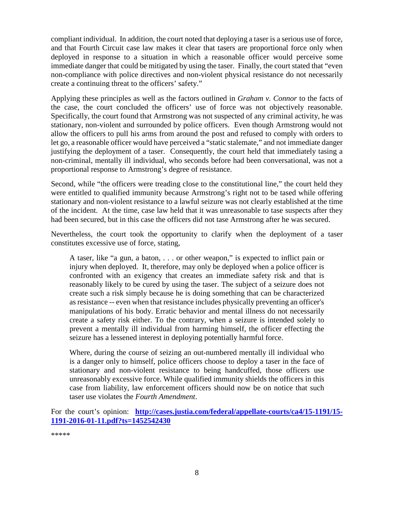compliant individual. In addition, the court noted that deploying a taser is a serious use of force, and that Fourth Circuit case law makes it clear that tasers are proportional force only when deployed in response to a situation in which a reasonable officer would perceive some immediate danger that could be mitigated by using the taser. Finally, the court stated that "even non-compliance with police directives and non-violent physical resistance do not necessarily create a continuing threat to the officers' safety."

Applying these principles as well as the factors outlined in *Graham v. Connor* to the facts of the case, the court concluded the officers' use of force was not objectively reasonable. Specifically, the court found that Armstrong was not suspected of any criminal activity, he was stationary, non-violent and surrounded by police officers. Even though Armstrong would not allow the officers to pull his arms from around the post and refused to comply with orders to let go, a reasonable officer would have perceived a "static stalemate," and not immediate danger justifying the deployment of a taser. Consequently, the court held that immediately tasing a non-criminal, mentally ill individual, who seconds before had been conversational, was not a proportional response to Armstrong's degree of resistance.

Second, while "the officers were treading close to the constitutional line," the court held they were entitled to qualified immunity because Armstrong's right not to be tased while offering stationary and non-violent resistance to a lawful seizure was not clearly established at the time of the incident. At the time, case law held that it was unreasonable to tase suspects after they had been secured, but in this case the officers did not tase Armstrong after he was secured.

Nevertheless, the court took the opportunity to clarify when the deployment of a taser constitutes excessive use of force, stating,

A taser, like "a gun, a baton, . . . or other weapon," is expected to inflict pain or injury when deployed. It, therefore, may only be deployed when a police officer is confronted with an exigency that creates an immediate safety risk and that is reasonably likely to be cured by using the taser. The subject of a seizure does not create such a risk simply because he is doing something that can be characterized as resistance -- even when that resistance includes physically preventing an officer's manipulations of his body. Erratic behavior and mental illness do not necessarily create a safety risk either. To the contrary, when a seizure is intended solely to prevent a mentally ill individual from harming himself, the officer effecting the seizure has a lessened interest in deploying potentially harmful force.

Where, during the course of seizing an out-numbered mentally ill individual who is a danger only to himself, police officers choose to deploy a taser in the face of stationary and non-violent resistance to being handcuffed, those officers use unreasonably excessive force. While qualified immunity shields the officers in this case from liability, law enforcement officers should now be on notice that such taser use violates the *Fourth Amendment*.

For the court's opinion: **[http://cases.justia.com/federal/appellate-courts/ca4/15-1191/15-](http://cases.justia.com/federal/appellate-courts/ca4/15-1191/15-1191-2016-01-11.pdf?ts=1452542430) [1191-2016-01-11.pdf?ts=1452542430](http://cases.justia.com/federal/appellate-courts/ca4/15-1191/15-1191-2016-01-11.pdf?ts=1452542430)**

\*\*\*\*\*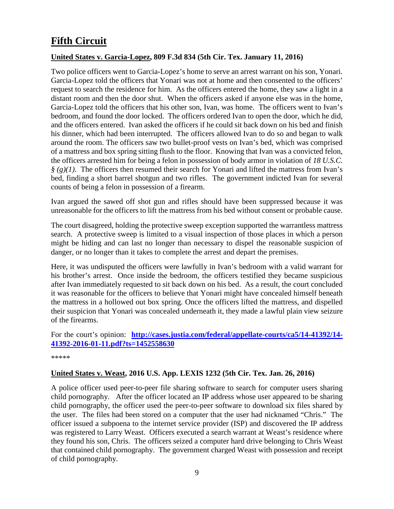## <span id="page-8-0"></span>**Fifth Circuit**

## <span id="page-8-1"></span>**United States v. Garcia-Lopez, 809 F.3d 834 (5th Cir. Tex. January 11, 2016)**

Two police officers went to Garcia-Lopez's home to serve an arrest warrant on his son, Yonari. Garcia-Lopez told the officers that Yonari was not at home and then consented to the officers' request to search the residence for him. As the officers entered the home, they saw a light in a distant room and then the door shut. When the officers asked if anyone else was in the home, Garcia-Lopez told the officers that his other son, Ivan, was home. The officers went to Ivan's bedroom, and found the door locked. The officers ordered Ivan to open the door, which he did, and the officers entered. Ivan asked the officers if he could sit back down on his bed and finish his dinner, which had been interrupted. The officers allowed Ivan to do so and began to walk around the room. The officers saw two bullet-proof vests on Ivan's bed, which was comprised of a mattress and box spring sitting flush to the floor. Knowing that Ivan was a convicted felon, the officers arrested him for being a felon in possession of body armor in violation of *18 U.S.C. § (g)(1)*. The officers then resumed their search for Yonari and lifted the mattress from Ivan's bed, finding a short barrel shotgun and two rifles. The government indicted Ivan for several counts of being a felon in possession of a firearm.

Ivan argued the sawed off shot gun and rifles should have been suppressed because it was unreasonable for the officers to lift the mattress from his bed without consent or probable cause.

The court disagreed, holding the protective sweep exception supported the warrantless mattress search. A protective sweep is limited to a visual inspection of those places in which a person might be hiding and can last no longer than necessary to dispel the reasonable suspicion of danger, or no longer than it takes to complete the arrest and depart the premises.

Here, it was undisputed the officers were lawfully in Ivan's bedroom with a valid warrant for his brother's arrest. Once inside the bedroom, the officers testified they became suspicious after Ivan immediately requested to sit back down on his bed. As a result, the court concluded it was reasonable for the officers to believe that Yonari might have concealed himself beneath the mattress in a hollowed out box spring. Once the officers lifted the mattress, and dispelled their suspicion that Yonari was concealed underneath it, they made a lawful plain view seizure of the firearms.

#### For the court's opinion: **[http://cases.justia.com/federal/appellate-courts/ca5/14-41392/14-](http://cases.justia.com/federal/appellate-courts/ca5/14-41392/14-41392-2016-01-11.pdf?ts=1452558630) [41392-2016-01-11.pdf?ts=1452558630](http://cases.justia.com/federal/appellate-courts/ca5/14-41392/14-41392-2016-01-11.pdf?ts=1452558630)**

\*\*\*\*\*

## <span id="page-8-2"></span>**United States v. Weast, 2016 U.S. App. LEXIS 1232 (5th Cir. Tex. Jan. 26, 2016)**

A police officer used peer-to-peer file sharing software to search for computer users sharing child pornography. After the officer located an IP address whose user appeared to be sharing child pornography, the officer used the peer-to-peer software to download six files shared by the user. The files had been stored on a computer that the user had nicknamed "Chris." The officer issued a subpoena to the internet service provider (ISP) and discovered the IP address was registered to Larry Weast. Officers executed a search warrant at Weast's residence where they found his son, Chris. The officers seized a computer hard drive belonging to Chris Weast that contained child pornography. The government charged Weast with possession and receipt of child pornography.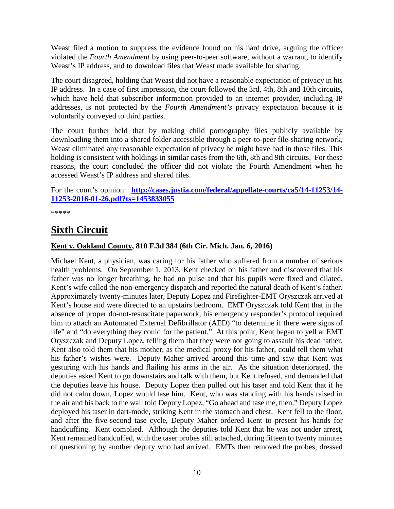Weast filed a motion to suppress the evidence found on his hard drive, arguing the officer violated the *Fourth Amendment* by using peer-to-peer software, without a warrant, to identify Weast's IP address, and to download files that Weast made available for sharing.

The court disagreed, holding that Weast did not have a reasonable expectation of privacy in his IP address. In a case of first impression, the court followed the 3rd, 4th, 8th and 10th circuits, which have held that subscriber information provided to an internet provider, including IP addresses, is not protected by the *Fourth Amendment's* privacy expectation because it is voluntarily conveyed to third parties.

The court further held that by making child pornography files publicly available by downloading them into a shared folder accessible through a peer-to-peer file-sharing network, Weast eliminated any reasonable expectation of privacy he might have had in those files. This holding is consistent with holdings in similar cases from the 6th, 8th and 9th circuits. For these reasons, the court concluded the officer did not violate the Fourth Amendment when he accessed Weast's IP address and shared files.

For the court's opinion: **[http://cases.justia.com/federal/appellate-courts/ca5/14-11253/14-](http://cases.justia.com/federal/appellate-courts/ca5/14-11253/14-11253-2016-01-26.pdf?ts=1453833055) [11253-2016-01-26.pdf?ts=1453833055](http://cases.justia.com/federal/appellate-courts/ca5/14-11253/14-11253-2016-01-26.pdf?ts=1453833055)**

\*\*\*\*\*

## <span id="page-9-0"></span>**Sixth Circuit**

## <span id="page-9-1"></span>**Kent v. Oakland County, 810 F.3d 384 (6th Cir. Mich. Jan. 6, 2016)**

Michael Kent, a physician, was caring for his father who suffered from a number of serious health problems. On September 1, 2013, Kent checked on his father and discovered that his father was no longer breathing, he had no pulse and that his pupils were fixed and dilated. Kent's wife called the non-emergency dispatch and reported the natural death of Kent's father. Approximately twenty-minutes later, Deputy Lopez and Firefighter-EMT Oryszczak arrived at Kent's house and were directed to an upstairs bedroom. EMT Oryszczak told Kent that in the absence of proper do-not-resuscitate paperwork, his emergency responder's protocol required him to attach an Automated External Defibrillator (AED) "to determine if there were signs of life" and "do everything they could for the patient." At this point, Kent began to yell at EMT Oryszczak and Deputy Lopez, telling them that they were not going to assault his dead father. Kent also told them that his mother, as the medical proxy for his father, could tell them what his father's wishes were. Deputy Maher arrived around this time and saw that Kent was gesturing with his hands and flailing his arms in the air. As the situation deteriorated, the deputies asked Kent to go downstairs and talk with them, but Kent refused, and demanded that the deputies leave his house. Deputy Lopez then pulled out his taser and told Kent that if he did not calm down, Lopez would tase him. Kent, who was standing with his hands raised in the air and his back to the wall told Deputy Lopez, "Go ahead and tase me, then." Deputy Lopez deployed his taser in dart-mode, striking Kent in the stomach and chest. Kent fell to the floor, and after the five-second tase cycle, Deputy Maher ordered Kent to present his hands for handcuffing. Kent complied. Although the deputies told Kent that he was not under arrest, Kent remained handcuffed, with the taser probes still attached, during fifteen to twenty minutes of questioning by another deputy who had arrived. EMTs then removed the probes, dressed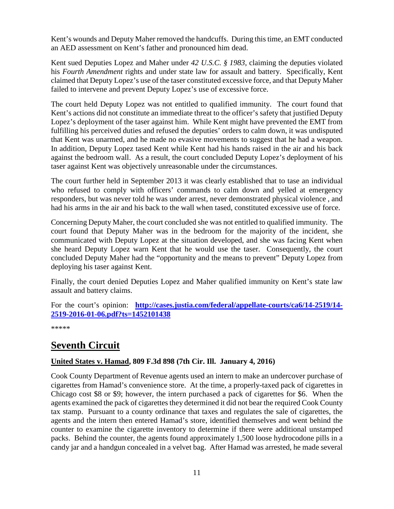Kent's wounds and Deputy Maher removed the handcuffs. During this time, an EMT conducted an AED assessment on Kent's father and pronounced him dead.

Kent sued Deputies Lopez and Maher under *42 U.S.C. § 1983*, claiming the deputies violated his *Fourth Amendment* rights and under state law for assault and battery. Specifically, Kent claimed that Deputy Lopez's use of the taser constituted excessive force, and that Deputy Maher failed to intervene and prevent Deputy Lopez's use of excessive force.

The court held Deputy Lopez was not entitled to qualified immunity. The court found that Kent's actions did not constitute an immediate threat to the officer's safety that justified Deputy Lopez's deployment of the taser against him. While Kent might have prevented the EMT from fulfilling his perceived duties and refused the deputies' orders to calm down, it was undisputed that Kent was unarmed, and he made no evasive movements to suggest that he had a weapon. In addition, Deputy Lopez tased Kent while Kent had his hands raised in the air and his back against the bedroom wall. As a result, the court concluded Deputy Lopez's deployment of his taser against Kent was objectively unreasonable under the circumstances.

The court further held in September 2013 it was clearly established that to tase an individual who refused to comply with officers' commands to calm down and yelled at emergency responders, but was never told he was under arrest, never demonstrated physical violence , and had his arms in the air and his back to the wall when tased, constituted excessive use of force.

Concerning Deputy Maher, the court concluded she was not entitled to qualified immunity. The court found that Deputy Maher was in the bedroom for the majority of the incident, she communicated with Deputy Lopez at the situation developed, and she was facing Kent when she heard Deputy Lopez warn Kent that he would use the taser. Consequently, the court concluded Deputy Maher had the "opportunity and the means to prevent" Deputy Lopez from deploying his taser against Kent.

Finally, the court denied Deputies Lopez and Maher qualified immunity on Kent's state law assault and battery claims.

For the court's opinion: **[http://cases.justia.com/federal/appellate-courts/ca6/14-2519/14-](http://cases.justia.com/federal/appellate-courts/ca6/14-2519/14-2519-2016-01-06.pdf?ts=1452101438) [2519-2016-01-06.pdf?ts=1452101438](http://cases.justia.com/federal/appellate-courts/ca6/14-2519/14-2519-2016-01-06.pdf?ts=1452101438)**

\*\*\*\*\*

## <span id="page-10-0"></span>**Seventh Circuit**

## <span id="page-10-1"></span>**United States v. Hamad, 809 F.3d 898 (7th Cir. Ill. January 4, 2016)**

Cook County Department of Revenue agents used an intern to make an undercover purchase of cigarettes from Hamad's convenience store. At the time, a properly-taxed pack of cigarettes in Chicago cost \$8 or \$9; however, the intern purchased a pack of cigarettes for \$6. When the agents examined the pack of cigarettes they determined it did not bear the required Cook County tax stamp. Pursuant to a county ordinance that taxes and regulates the sale of cigarettes, the agents and the intern then entered Hamad's store, identified themselves and went behind the counter to examine the cigarette inventory to determine if there were additional unstamped packs. Behind the counter, the agents found approximately 1,500 loose hydrocodone pills in a candy jar and a handgun concealed in a velvet bag. After Hamad was arrested, he made several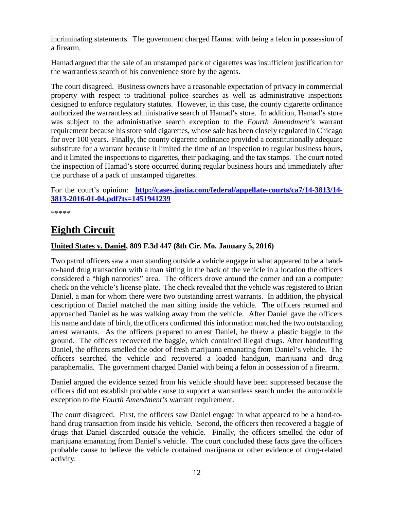incriminating statements. The government charged Hamad with being a felon in possession of a firearm.

Hamad argued that the sale of an unstamped pack of cigarettes was insufficient justification for the warrantless search of his convenience store by the agents.

The court disagreed. Business owners have a reasonable expectation of privacy in commercial property with respect to traditional police searches as well as administrative inspections designed to enforce regulatory statutes. However, in this case, the county cigarette ordinance authorized the warrantless administrative search of Hamad's store. In addition, Hamad's store was subject to the administrative search exception to the *Fourth Amendment's* warrant requirement because his store sold cigarettes, whose sale has been closely regulated in Chicago for over 100 years. Finally, the county cigarette ordinance provided a constitutionally adequate substitute for a warrant because it limited the time of an inspection to regular business hours, and it limited the inspections to cigarettes, their packaging, and the tax stamps. The court noted the inspection of Hamad's store occurred during regular business hours and immediately after the purchase of a pack of unstamped cigarettes.

For the court's opinion: **[http://cases.justia.com/federal/appellate-courts/ca7/14-3813/14-](http://cases.justia.com/federal/appellate-courts/ca7/14-3813/14-3813-2016-01-04.pdf?ts=1451941239) [3813-2016-01-04.pdf?ts=1451941239](http://cases.justia.com/federal/appellate-courts/ca7/14-3813/14-3813-2016-01-04.pdf?ts=1451941239)**

\*\*\*\*\*

## <span id="page-11-0"></span>**Eighth Circuit**

## <span id="page-11-1"></span>**United States v. Daniel, 809 F.3d 447 (8th Cir. Mo. January 5, 2016)**

Two patrol officers saw a man standing outside a vehicle engage in what appeared to be a handto-hand drug transaction with a man sitting in the back of the vehicle in a location the officers considered a "high narcotics" area. The officers drove around the corner and ran a computer check on the vehicle's license plate. The check revealed that the vehicle was registered to Brian Daniel, a man for whom there were two outstanding arrest warrants. In addition, the physical description of Daniel matched the man sitting inside the vehicle. The officers returned and approached Daniel as he was walking away from the vehicle. After Daniel gave the officers his name and date of birth, the officers confirmed this information matched the two outstanding arrest warrants. As the officers prepared to arrest Daniel, he threw a plastic baggie to the ground. The officers recovered the baggie, which contained illegal drugs. After handcuffing Daniel, the officers smelled the odor of fresh marijuana emanating from Daniel's vehicle. The officers searched the vehicle and recovered a loaded handgun, marijuana and drug paraphernalia. The government charged Daniel with being a felon in possession of a firearm.

Daniel argued the evidence seized from his vehicle should have been suppressed because the officers did not establish probable cause to support a warrantless search under the automobile exception to the *Fourth Amendment's* warrant requirement.

The court disagreed. First, the officers saw Daniel engage in what appeared to be a hand-tohand drug transaction from inside his vehicle. Second, the officers then recovered a baggie of drugs that Daniel discarded outside the vehicle. Finally, the officers smelled the odor of marijuana emanating from Daniel's vehicle. The court concluded these facts gave the officers probable cause to believe the vehicle contained marijuana or other evidence of drug-related activity.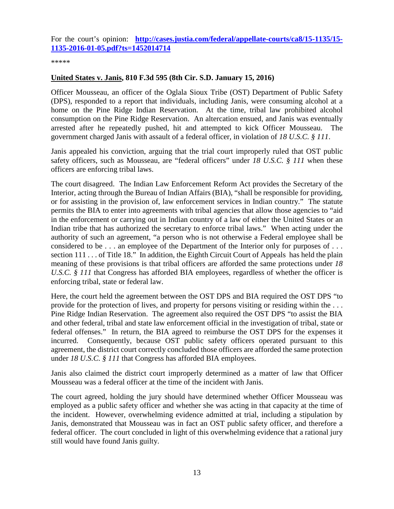For the court's opinion: **[http://cases.justia.com/federal/appellate-courts/ca8/15-1135/15-](http://cases.justia.com/federal/appellate-courts/ca8/15-1135/15-1135-2016-01-05.pdf?ts=1452014714) [1135-2016-01-05.pdf?ts=1452014714](http://cases.justia.com/federal/appellate-courts/ca8/15-1135/15-1135-2016-01-05.pdf?ts=1452014714)**

\*\*\*\*\*

## <span id="page-12-0"></span>**United States v. Janis, 810 F.3d 595 (8th Cir. S.D. January 15, 2016)**

Officer Mousseau, an officer of the Oglala Sioux Tribe (OST) Department of Public Safety (DPS), responded to a report that individuals, including Janis, were consuming alcohol at a home on the Pine Ridge Indian Reservation. At the time, tribal law prohibited alcohol consumption on the Pine Ridge Reservation. An altercation ensued, and Janis was eventually arrested after he repeatedly pushed, hit and attempted to kick Officer Mousseau. The government charged Janis with assault of a federal officer, in violation of *18 U.S.C. § 111*.

Janis appealed his conviction, arguing that the trial court improperly ruled that OST public safety officers, such as Mousseau, are "federal officers" under *18 U.S.C. § 111* when these officers are enforcing tribal laws.

The court disagreed. The Indian Law Enforcement Reform Act provides the Secretary of the Interior, acting through the Bureau of Indian Affairs (BIA), "shall be responsible for providing, or for assisting in the provision of, law enforcement services in Indian country." The statute permits the BIA to enter into agreements with tribal agencies that allow those agencies to "aid in the enforcement or carrying out in Indian country of a law of either the United States or an Indian tribe that has authorized the secretary to enforce tribal laws." When acting under the authority of such an agreement, "a person who is not otherwise a Federal employee shall be considered to be . . . an employee of the Department of the Interior only for purposes of . . . section 111 . . . of Title 18." In addition, the Eighth Circuit Court of Appeals has held the plain meaning of these provisions is that tribal officers are afforded the same protections under *18 U.S.C. § 111* that Congress has afforded BIA employees, regardless of whether the officer is enforcing tribal, state or federal law.

Here, the court held the agreement between the OST DPS and BIA required the OST DPS "to provide for the protection of lives, and property for persons visiting or residing within the . . . Pine Ridge Indian Reservation. The agreement also required the OST DPS "to assist the BIA and other federal, tribal and state law enforcement official in the investigation of tribal, state or federal offenses." In return, the BIA agreed to reimburse the OST DPS for the expenses it incurred. Consequently, because OST public safety officers operated pursuant to this agreement, the district court correctly concluded those officers are afforded the same protection under *18 U.S.C. § 111* that Congress has afforded BIA employees.

Janis also claimed the district court improperly determined as a matter of law that Officer Mousseau was a federal officer at the time of the incident with Janis.

The court agreed, holding the jury should have determined whether Officer Mousseau was employed as a public safety officer and whether she was acting in that capacity at the time of the incident. However, overwhelming evidence admitted at trial, including a stipulation by Janis, demonstrated that Mousseau was in fact an OST public safety officer, and therefore a federal officer. The court concluded in light of this overwhelming evidence that a rational jury still would have found Janis guilty.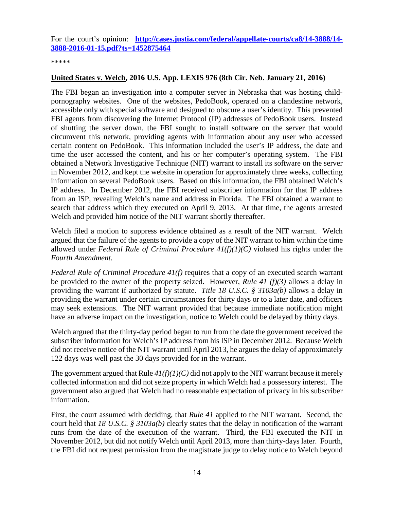For the court's opinion: **[http://cases.justia.com/federal/appellate-courts/ca8/14-3888/14-](http://cases.justia.com/federal/appellate-courts/ca8/14-3888/14-3888-2016-01-15.pdf?ts=1452875464) [3888-2016-01-15.pdf?ts=1452875464](http://cases.justia.com/federal/appellate-courts/ca8/14-3888/14-3888-2016-01-15.pdf?ts=1452875464)**

\*\*\*\*\*

## <span id="page-13-0"></span>**United States v. Welch, 2016 U.S. App. LEXIS 976 (8th Cir. Neb. January 21, 2016)**

The FBI began an investigation into a computer server in Nebraska that was hosting childpornography websites. One of the websites, PedoBook, operated on a clandestine network, accessible only with special software and designed to obscure a user's identity. This prevented FBI agents from discovering the Internet Protocol (IP) addresses of PedoBook users. Instead of shutting the server down, the FBI sought to install software on the server that would circumvent this network, providing agents with information about any user who accessed certain content on PedoBook. This information included the user's IP address, the date and time the user accessed the content, and his or her computer's operating system. The FBI obtained a Network Investigative Technique (NIT) warrant to install its software on the server in November 2012, and kept the website in operation for approximately three weeks, collecting information on several PedoBook users. Based on this information, the FBI obtained Welch's IP address. In December 2012, the FBI received subscriber information for that IP address from an ISP, revealing Welch's name and address in Florida. The FBI obtained a warrant to search that address which they executed on April 9, 2013. At that time, the agents arrested Welch and provided him notice of the NIT warrant shortly thereafter.

Welch filed a motion to suppress evidence obtained as a result of the NIT warrant. Welch argued that the failure of the agents to provide a copy of the NIT warrant to him within the time allowed under *Federal Rule of Criminal Procedure 41(f)(1)(C)* violated his rights under the *Fourth Amendment*.

*Federal Rule of Criminal Procedure 41(f)* requires that a copy of an executed search warrant be provided to the owner of the property seized. However, *Rule 41 (f)(3)* allows a delay in providing the warrant if authorized by statute. *Title 18 U.S.C. § 3103a(b)* allows a delay in providing the warrant under certain circumstances for thirty days or to a later date, and officers may seek extensions. The NIT warrant provided that because immediate notification might have an adverse impact on the investigation, notice to Welch could be delayed by thirty days.

Welch argued that the thirty-day period began to run from the date the government received the subscriber information for Welch's IP address from his ISP in December 2012. Because Welch did not receive notice of the NIT warrant until April 2013, he argues the delay of approximately 122 days was well past the 30 days provided for in the warrant.

The government argued that Rule  $4I(f)(I)(C)$  did not apply to the NIT warrant because it merely collected information and did not seize property in which Welch had a possessory interest. The government also argued that Welch had no reasonable expectation of privacy in his subscriber information.

First, the court assumed with deciding, that *Rule 41* applied to the NIT warrant. Second, the court held that *18 U.S.C. § 3103a(b)* clearly states that the delay in notification of the warrant runs from the date of the execution of the warrant. Third, the FBI executed the NIT in November 2012, but did not notify Welch until April 2013, more than thirty-days later. Fourth, the FBI did not request permission from the magistrate judge to delay notice to Welch beyond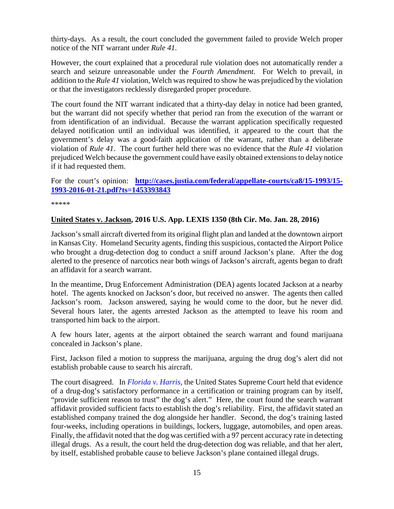thirty-days. As a result, the court concluded the government failed to provide Welch proper notice of the NIT warrant under *Rule 41*.

However, the court explained that a procedural rule violation does not automatically render a search and seizure unreasonable under the *Fourth Amendment*. For Welch to prevail, in addition to the *Rule 41* violation, Welch was required to show he was prejudiced by the violation or that the investigators recklessly disregarded proper procedure.

The court found the NIT warrant indicated that a thirty-day delay in notice had been granted, but the warrant did not specify whether that period ran from the execution of the warrant or from identification of an individual. Because the warrant application specifically requested delayed notification until an individual was identified, it appeared to the court that the government's delay was a good-faith application of the warrant, rather than a deliberate violation of *Rule 41*. The court further held there was no evidence that the *Rule 41* violation prejudiced Welch because the government could have easily obtained extensions to delay notice if it had requested them.

For the court's opinion: **[http://cases.justia.com/federal/appellate-courts/ca8/15-1993/15-](http://cases.justia.com/federal/appellate-courts/ca8/15-1993/15-1993-2016-01-21.pdf?ts=1453393843) [1993-2016-01-21.pdf?ts=1453393843](http://cases.justia.com/federal/appellate-courts/ca8/15-1993/15-1993-2016-01-21.pdf?ts=1453393843)**

\*\*\*\*\*

#### <span id="page-14-0"></span>**United States v. Jackson, 2016 U.S. App. LEXIS 1350 (8th Cir. Mo. Jan. 28, 2016)**

Jackson's small aircraft diverted from its original flight plan and landed at the downtown airport in Kansas City. Homeland Security agents, finding this suspicious, contacted the Airport Police who brought a drug-detection dog to conduct a sniff around Jackson's plane. After the dog alerted to the presence of narcotics near both wings of Jackson's aircraft, agents began to draft an affidavit for a search warrant.

In the meantime, Drug Enforcement Administration (DEA) agents located Jackson at a nearby hotel. The agents knocked on Jackson's door, but received no answer. The agents then called Jackson's room. Jackson answered, saying he would come to the door, but he never did. Several hours later, the agents arrested Jackson as the attempted to leave his room and transported him back to the airport.

A few hours later, agents at the airport obtained the search warrant and found marijuana concealed in Jackson's plane.

First, Jackson filed a motion to suppress the marijuana, arguing the drug dog's alert did not establish probable cause to search his aircraft.

The court disagreed. In *[Florida v. Harris](http://www.supremecourt.gov/opinions/12pdf/11-817_5if6.pdf)*, the United States Supreme Court held that evidence of a drug-dog's satisfactory performance in a certification or training program can by itself, "provide sufficient reason to trust" the dog's alert." Here, the court found the search warrant affidavit provided sufficient facts to establish the dog's reliability. First, the affidavit stated an established company trained the dog alongside her handler. Second, the dog's training lasted four-weeks, including operations in buildings, lockers, luggage, automobiles, and open areas. Finally, the affidavit noted that the dog was certified with a 97 percent accuracy rate in detecting illegal drugs. As a result, the court held the drug-detection dog was reliable, and that her alert, by itself, established probable cause to believe Jackson's plane contained illegal drugs.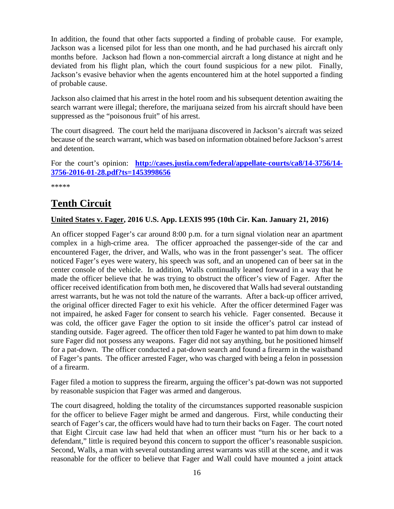In addition, the found that other facts supported a finding of probable cause. For example, Jackson was a licensed pilot for less than one month, and he had purchased his aircraft only months before. Jackson had flown a non-commercial aircraft a long distance at night and he deviated from his flight plan, which the court found suspicious for a new pilot. Finally, Jackson's evasive behavior when the agents encountered him at the hotel supported a finding of probable cause.

Jackson also claimed that his arrest in the hotel room and his subsequent detention awaiting the search warrant were illegal; therefore, the marijuana seized from his aircraft should have been suppressed as the "poisonous fruit" of his arrest.

The court disagreed. The court held the marijuana discovered in Jackson's aircraft was seized because of the search warrant, which was based on information obtained before Jackson's arrest and detention.

For the court's opinion: **[http://cases.justia.com/federal/appellate-courts/ca8/14-3756/14-](http://cases.justia.com/federal/appellate-courts/ca8/14-3756/14-3756-2016-01-28.pdf?ts=1453998656) [3756-2016-01-28.pdf?ts=1453998656](http://cases.justia.com/federal/appellate-courts/ca8/14-3756/14-3756-2016-01-28.pdf?ts=1453998656)**

\*\*\*\*\*

## <span id="page-15-0"></span>**Tenth Circuit**

## <span id="page-15-1"></span>**United States v. Fager, 2016 U.S. App. LEXIS 995 (10th Cir. Kan. January 21, 2016)**

An officer stopped Fager's car around 8:00 p.m. for a turn signal violation near an apartment complex in a high-crime area. The officer approached the passenger-side of the car and encountered Fager, the driver, and Walls, who was in the front passenger's seat. The officer noticed Fager's eyes were watery, his speech was soft, and an unopened can of beer sat in the center console of the vehicle. In addition, Walls continually leaned forward in a way that he made the officer believe that he was trying to obstruct the officer's view of Fager. After the officer received identification from both men, he discovered that Walls had several outstanding arrest warrants, but he was not told the nature of the warrants. After a back-up officer arrived, the original officer directed Fager to exit his vehicle. After the officer determined Fager was not impaired, he asked Fager for consent to search his vehicle. Fager consented. Because it was cold, the officer gave Fager the option to sit inside the officer's patrol car instead of standing outside. Fager agreed. The officer then told Fager he wanted to pat him down to make sure Fager did not possess any weapons. Fager did not say anything, but he positioned himself for a pat-down. The officer conducted a pat-down search and found a firearm in the waistband of Fager's pants. The officer arrested Fager, who was charged with being a felon in possession of a firearm.

Fager filed a motion to suppress the firearm, arguing the officer's pat-down was not supported by reasonable suspicion that Fager was armed and dangerous.

The court disagreed, holding the totality of the circumstances supported reasonable suspicion for the officer to believe Fager might be armed and dangerous. First, while conducting their search of Fager's car, the officers would have had to turn their backs on Fager. The court noted that Eight Circuit case law had held that when an officer must "turn his or her back to a defendant," little is required beyond this concern to support the officer's reasonable suspicion. Second, Walls, a man with several outstanding arrest warrants was still at the scene, and it was reasonable for the officer to believe that Fager and Wall could have mounted a joint attack